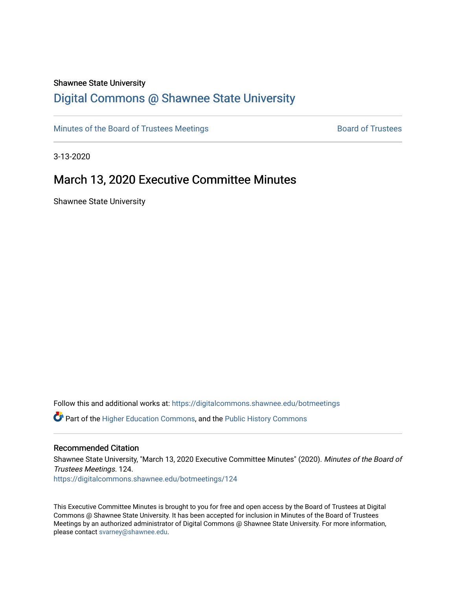#### Shawnee State University

# [Digital Commons @ Shawnee State University](https://digitalcommons.shawnee.edu/)

[Minutes of the Board of Trustees Meetings](https://digitalcommons.shawnee.edu/botmeetings) **Board of Trustees** Board of Trustees

3-13-2020

# March 13, 2020 Executive Committee Minutes

Shawnee State University

Follow this and additional works at: [https://digitalcommons.shawnee.edu/botmeetings](https://digitalcommons.shawnee.edu/botmeetings?utm_source=digitalcommons.shawnee.edu%2Fbotmeetings%2F124&utm_medium=PDF&utm_campaign=PDFCoverPages) 

Part of the [Higher Education Commons,](https://network.bepress.com/hgg/discipline/1245?utm_source=digitalcommons.shawnee.edu%2Fbotmeetings%2F124&utm_medium=PDF&utm_campaign=PDFCoverPages) and the [Public History Commons](https://network.bepress.com/hgg/discipline/1292?utm_source=digitalcommons.shawnee.edu%2Fbotmeetings%2F124&utm_medium=PDF&utm_campaign=PDFCoverPages)

#### Recommended Citation

Shawnee State University, "March 13, 2020 Executive Committee Minutes" (2020). Minutes of the Board of Trustees Meetings. 124. [https://digitalcommons.shawnee.edu/botmeetings/124](https://digitalcommons.shawnee.edu/botmeetings/124?utm_source=digitalcommons.shawnee.edu%2Fbotmeetings%2F124&utm_medium=PDF&utm_campaign=PDFCoverPages) 

This Executive Committee Minutes is brought to you for free and open access by the Board of Trustees at Digital Commons @ Shawnee State University. It has been accepted for inclusion in Minutes of the Board of Trustees Meetings by an authorized administrator of Digital Commons @ Shawnee State University. For more information, please contact [svarney@shawnee.edu.](mailto:svarney@shawnee.edu)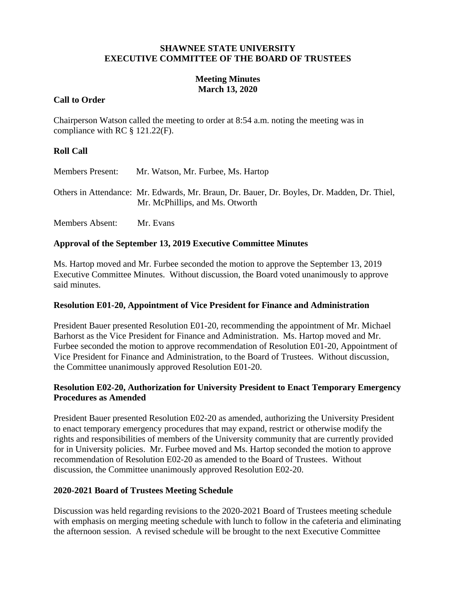### **SHAWNEE STATE UNIVERSITY EXECUTIVE COMMITTEE OF THE BOARD OF TRUSTEES**

# **Meeting Minutes March 13, 2020**

# **Call to Order**

Chairperson Watson called the meeting to order at 8:54 a.m. noting the meeting was in compliance with RC § 121.22(F).

# **Roll Call**

| <b>Members Present:</b> | Mr. Watson, Mr. Furbee, Ms. Hartop                                                                                             |
|-------------------------|--------------------------------------------------------------------------------------------------------------------------------|
|                         | Others in Attendance: Mr. Edwards, Mr. Braun, Dr. Bauer, Dr. Boyles, Dr. Madden, Dr. Thiel,<br>Mr. McPhillips, and Ms. Otworth |

Members Absent: Mr. Evans

# **Approval of the September 13, 2019 Executive Committee Minutes**

Ms. Hartop moved and Mr. Furbee seconded the motion to approve the September 13, 2019 Executive Committee Minutes. Without discussion, the Board voted unanimously to approve said minutes.

### **Resolution E01-20, Appointment of Vice President for Finance and Administration**

President Bauer presented Resolution E01-20, recommending the appointment of Mr. Michael Barhorst as the Vice President for Finance and Administration. Ms. Hartop moved and Mr. Furbee seconded the motion to approve recommendation of Resolution E01-20, Appointment of Vice President for Finance and Administration, to the Board of Trustees. Without discussion, the Committee unanimously approved Resolution E01-20.

# **Resolution E02-20, Authorization for University President to Enact Temporary Emergency Procedures as Amended**

President Bauer presented Resolution E02-20 as amended, authorizing the University President to enact temporary emergency procedures that may expand, restrict or otherwise modify the rights and responsibilities of members of the University community that are currently provided for in University policies. Mr. Furbee moved and Ms. Hartop seconded the motion to approve recommendation of Resolution E02-20 as amended to the Board of Trustees. Without discussion, the Committee unanimously approved Resolution E02-20.

### **2020-2021 Board of Trustees Meeting Schedule**

Discussion was held regarding revisions to the 2020-2021 Board of Trustees meeting schedule with emphasis on merging meeting schedule with lunch to follow in the cafeteria and eliminating the afternoon session. A revised schedule will be brought to the next Executive Committee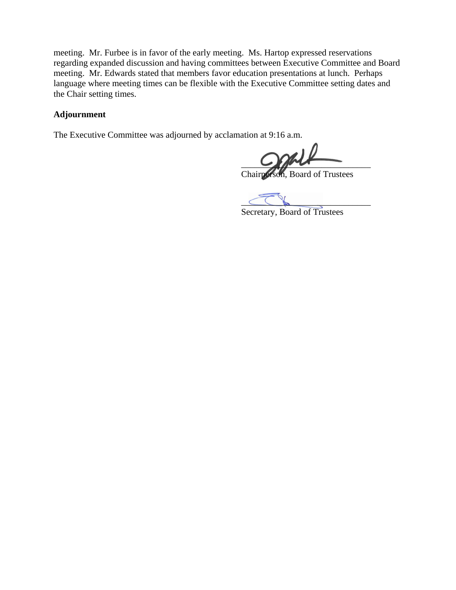meeting. Mr. Furbee is in favor of the early meeting. Ms. Hartop expressed reservations regarding expanded discussion and having committees between Executive Committee and Board meeting. Mr. Edwards stated that members favor education presentations at lunch. Perhaps language where meeting times can be flexible with the Executive Committee setting dates and the Chair setting times.

# **Adjournment**

The Executive Committee was adjourned by acclamation at 9:16 a.m.

 $\sim$ 

Chairperson, Board of Trustees

 $\subset\subset\mathbb{R}$ 

Secretary, Board of Trustees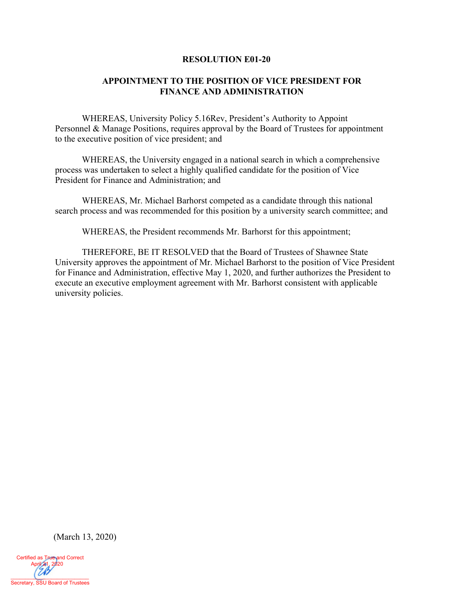#### **RESOLUTION E01-20**

# **APPOINTMENT TO THE POSITION OF VICE PRESIDENT FOR FINANCE AND ADMINISTRATION**

WHEREAS, University Policy 5.16Rev, President's Authority to Appoint Personnel & Manage Positions, requires approval by the Board of Trustees for appointment to the executive position of vice president; and

WHEREAS, the University engaged in a national search in which a comprehensive process was undertaken to select a highly qualified candidate for the position of Vice President for Finance and Administration; and

WHEREAS, Mr. Michael Barhorst competed as a candidate through this national search process and was recommended for this position by a university search committee; and

WHEREAS, the President recommends Mr. Barhorst for this appointment;

THEREFORE, BE IT RESOLVED that the Board of Trustees of Shawnee State University approves the appointment of Mr. Michael Barhorst to the position of Vice President for Finance and Administration, effective May 1, 2020, and further authorizes the President to execute an executive employment agreement with Mr. Barhorst consistent with applicable university policies.

(March 13, 2020)

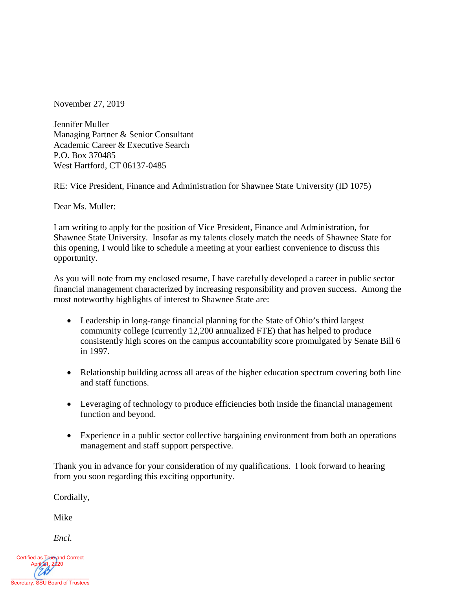November 27, 2019

Jennifer Muller Managing Partner & Senior Consultant Academic Career & Executive Search P.O. Box 370485 West Hartford, CT 06137-0485

RE: Vice President, Finance and Administration for Shawnee State University (ID 1075)

Dear Ms. Muller:

I am writing to apply for the position of Vice President, Finance and Administration, for Shawnee State University. Insofar as my talents closely match the needs of Shawnee State for this opening, I would like to schedule a meeting at your earliest convenience to discuss this opportunity.

As you will note from my enclosed resume, I have carefully developed a career in public sector financial management characterized by increasing responsibility and proven success. Among the most noteworthy highlights of interest to Shawnee State are:

- Leadership in long-range financial planning for the State of Ohio's third largest community college (currently 12,200 annualized FTE) that has helped to produce consistently high scores on the campus accountability score promulgated by Senate Bill 6 in 1997.
- Relationship building across all areas of the higher education spectrum covering both line and staff functions.
- Leveraging of technology to produce efficiencies both inside the financial management function and beyond.
- Experience in a public sector collective bargaining environment from both an operations management and staff support perspective.

Thank you in advance for your consideration of my qualifications. I look forward to hearing from you soon regarding this exciting opportunity.

Cordially,

Mike

*Encl.*

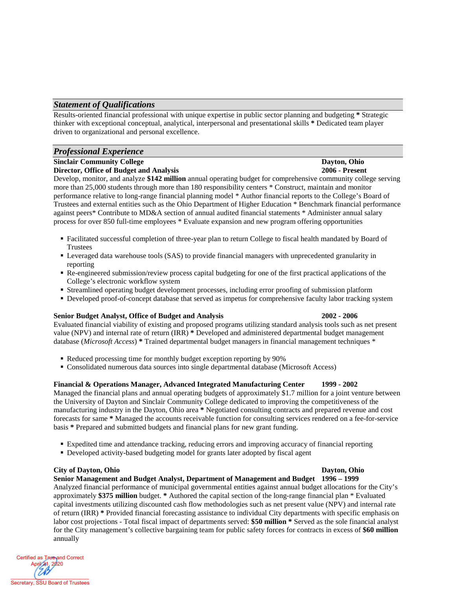#### *Statement of Qualifications*

Results-oriented financial professional with unique expertise in public sector planning and budgeting **\*** Strategic thinker with exceptional conceptual, analytical, interpersonal and presentational skills **\*** Dedicated team player driven to organizational and personal excellence.

### *Professional Experience*

# **Sinclair Community College Dayton, Ohio**<br>
Director, Office of Budget and Analysis 2006 - Present

**Director, Office of Budget and Analysis** 

Develop, monitor, and analyze **\$142 million** annual operating budget for comprehensive community college serving more than 25,000 students through more than 180 responsibility centers \* Construct, maintain and monitor performance relative to long-range financial planning model \* Author financial reports to the College's Board of Trustees and external entities such as the Ohio Department of Higher Education \* Benchmark financial performance against peers\* Contribute to MD&A section of annual audited financial statements \* Administer annual salary process for over 850 full-time employees \* Evaluate expansion and new program offering opportunities

- Facilitated successful completion of three-year plan to return College to fiscal health mandated by Board of Trustees
- Leveraged data warehouse tools (SAS) to provide financial managers with unprecedented granularity in reporting
- Re-engineered submission/review process capital budgeting for one of the first practical applications of the College's electronic workflow system
- Streamlined operating budget development processes, including error proofing of submission platform
- Developed proof-of-concept database that served as impetus for comprehensive faculty labor tracking system

#### **Senior Budget Analyst, Office of Budget and Analysis 2002 - 2006**

Evaluated financial viability of existing and proposed programs utilizing standard analysis tools such as net present value (NPV) and internal rate of return (IRR) **\*** Developed and administered departmental budget management database (*Microsoft Access*) **\*** Trained departmental budget managers in financial management techniques \*

- Reduced processing time for monthly budget exception reporting by 90%
- Consolidated numerous data sources into single departmental database (Microsoft Access)

#### **Financial & Operations Manager, Advanced Integrated Manufacturing Center 1999 - 2002**

Managed the financial plans and annual operating budgets of approximately \$1.7 million for a joint venture between the University of Dayton and Sinclair Community College dedicated to improving the competitiveness of the manufacturing industry in the Dayton, Ohio area **\*** Negotiated consulting contracts and prepared revenue and cost forecasts for same **\*** Managed the accounts receivable function for consulting services rendered on a fee-for-service basis **\*** Prepared and submitted budgets and financial plans for new grant funding.

- Expedited time and attendance tracking, reducing errors and improving accuracy of financial reporting
- Developed activity-based budgeting model for grants later adopted by fiscal agent

#### **City of Dayton, Ohio Dayton, Ohio**

**Senior Management and Budget Analyst, Department of Management and Budget 1996 – 1999** Analyzed financial performance of municipal governmental entities against annual budget allocations for the City's approximately **\$375 million** budget. **\*** Authored the capital section of the long-range financial plan \* Evaluated capital investments utilizing discounted cash flow methodologies such as net present value (NPV) and internal rate of return (IRR) **\*** Provided financial forecasting assistance to individual City departments with specific emphasis on labor cost projections - Total fiscal impact of departments served: **\$50 million \*** Served as the sole financial analyst for the City management's collective bargaining team for public safety forces for contracts in excess of **\$60 million** annually

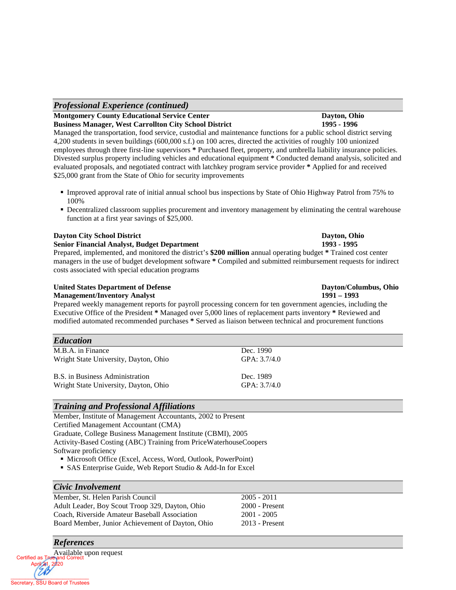April 21, 2020

### *Professional Experience (continued)*

#### **Montgomery County Educational Service Center Dayton, Ohio Business Manager, West Carrollton City School District 1995 - 1996**

Managed the transportation, food service, custodial and maintenance functions for a public school district serving 4,200 students in seven buildings (600,000 s.f.) on 100 acres, directed the activities of roughly 100 unionized employees through three first-line supervisors **\*** Purchased fleet, property, and umbrella liability insurance policies. Divested surplus property including vehicles and educational equipment **\*** Conducted demand analysis, solicited and evaluated proposals, and negotiated contract with latchkey program service provider **\*** Applied for and received \$25,000 grant from the State of Ohio for security improvements

- Improved approval rate of initial annual school bus inspections by State of Ohio Highway Patrol from 75% to 100%
- Decentralized classroom supplies procurement and inventory management by eliminating the central warehouse function at a first year savings of \$25,000.

#### **Dayton City School District Dayton, Ohio**

**Senior Financial Analyst, Budget Department 1993 - 1995** Prepared, implemented, and monitored the district's **\$200 million** annual operating budget **\*** Trained cost center managers in the use of budget development software **\*** Compiled and submitted reimbursement requests for indirect costs associated with special education programs

#### **United States Department of Defense Dayton/Columbus, Ohio**

#### **Management/Inventory Analyst 1991 – 1993**

Prepared weekly management reports for payroll processing concern for ten government agencies, including the Executive Office of the President **\*** Managed over 5,000 lines of replacement parts inventory **\*** Reviewed and modified automated recommended purchases **\*** Served as liaison between technical and procurement functions

| <b>Education</b>                      |                |
|---------------------------------------|----------------|
| M.B.A. in Finance                     | Dec. 1990      |
| Wright State University, Dayton, Ohio | GPA: $3.7/4.0$ |
| B.S. in Business Administration       | Dec. 1989      |
| Wright State University, Dayton, Ohio | GPA: 3.7/4.0   |

### *Training and Professional Affiliations*

Member, Institute of Management Accountants, 2002 to Present Certified Management Accountant (CMA) Graduate, College Business Management Institute (CBMI), 2005 Activity-Based Costing (ABC) Training from PriceWaterhouseCoopers Software proficiency

- Microsoft Office (Excel, Access, Word, Outlook, PowerPoint)
- SAS Enterprise Guide, Web Report Studio & Add-In for Excel

#### *Civic Involvement*

Available upon request

*References*

| Member, St. Helen Parish Council                 | $2005 - 2011$    |
|--------------------------------------------------|------------------|
| Adult Leader, Boy Scout Troop 329, Dayton, Ohio  | $2000$ - Present |
| Coach, Riverside Amateur Baseball Association    | $2001 - 2005$    |
| Board Member, Junior Achievement of Dayton, Ohio | $2013$ - Present |